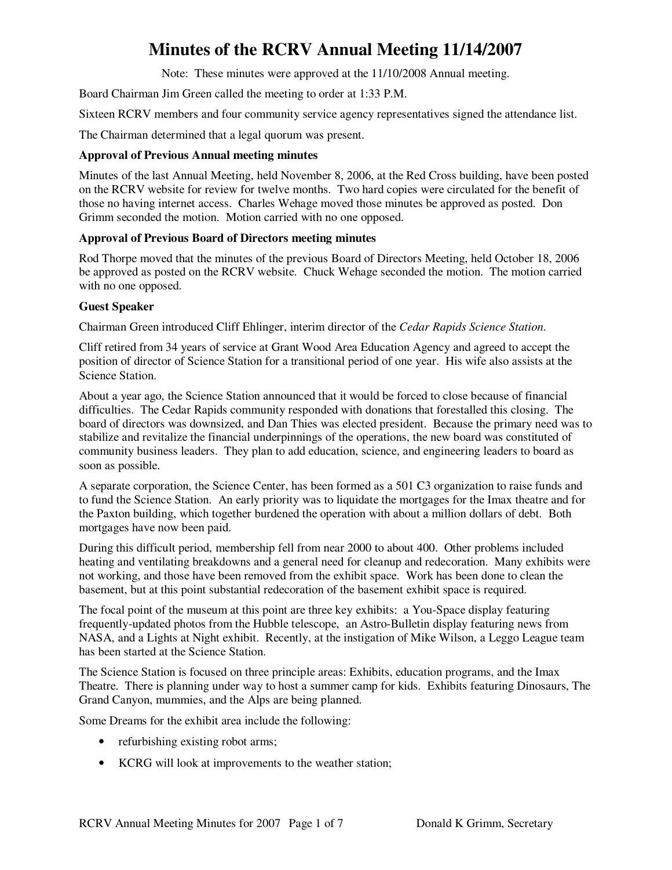Note: These minutes were approved at the 11/10/2008 Annual meeting.

Board Chairman Jim Green called the meeting to order at 1:33 P.M.

Sixteen RCRV members and four community service agency representatives signed the attendance list.

The Chairman determined that a legal quorum was present.

#### **Approval of Previous Annual meeting minutes**

Minutes of the last Annual Meeting, held November 8, 2006, at the Red Cross building, have been posted on the RCRV website for review for twelve months. Two hard copies were circulated for the benefit of those no having internet access. Charles Wehage moved those minutes be approved as posted. Don Grimm seconded the motion. Motion carried with no one opposed.

#### **Approval of Previous Board of Directors meeting minutes**

Rod Thorpe moved that the minutes of the previous Board of Directors Meeting, held October 18, 2006 be approved as posted on the RCRV website. Chuck Wehage seconded the motion. The motion carried with no one opposed.

#### **Guest Speaker**

Chairman Green introduced Cliff Ehlinger, interim director of the *Cedar Rapids Science Station*.

Cliff retired from 34 years of service at Grant Wood Area Education Agency and agreed to accept the position of director of Science Station for a transitional period of one year. His wife also assists at the Science Station.

About a year ago, the Science Station announced that it would be forced to close because of financial difficulties. The Cedar Rapids community responded with donations that forestalled this closing. The board of directors was downsized, and Dan Thies was elected president. Because the primary need was to stabilize and revitalize the financial underpinnings of the operations, the new board was constituted of community business leaders. They plan to add education, science, and engineering leaders to board as soon as possible.

A separate corporation, the Science Center, has been formed as a 501 C3 organization to raise funds and to fund the Science Station. An early priority was to liquidate the mortgages for the Imax theatre and for the Paxton building, which together burdened the operation with about a million dollars of debt. Both mortgages have now been paid.

During this difficult period, membership fell from near 2000 to about 400. Other problems included heating and ventilating breakdowns and a general need for cleanup and redecoration. Many exhibits were not working, and those have been removed from the exhibit space. Work has been done to clean the basement, but at this point substantial redecoration of the basement exhibit space is required.

The focal point of the museum at this point are three key exhibits: a You-Space display featuring frequently-updated photos from the Hubble telescope, an Astro-Bulletin display featuring news from NASA, and a Lights at Night exhibit. Recently, at the instigation of Mike Wilson, a Leggo League team has been started at the Science Station.

The Science Station is focused on three principle areas: Exhibits, education programs, and the Imax Theatre. There is planning under way to host a summer camp for kids. Exhibits featuring Dinosaurs, The Grand Canyon, mummies, and the Alps are being planned.

Some Dreams for the exhibit area include the following:

- refurbishing existing robot arms;
- KCRG will look at improvements to the weather station;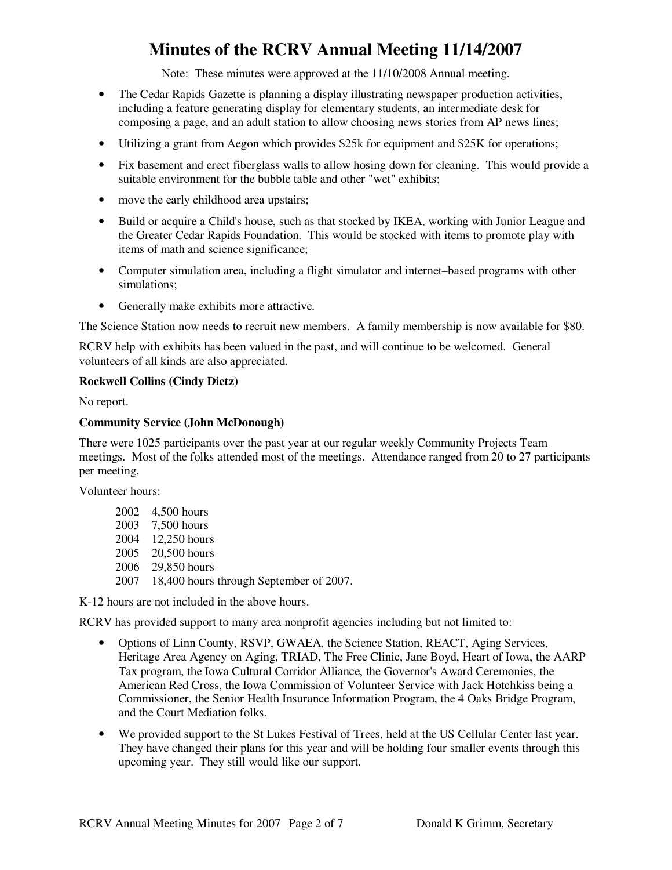Note: These minutes were approved at the 11/10/2008 Annual meeting.

- The Cedar Rapids Gazette is planning a display illustrating newspaper production activities, including a feature generating display for elementary students, an intermediate desk for composing a page, and an adult station to allow choosing news stories from AP news lines;
- Utilizing a grant from Aegon which provides \$25k for equipment and \$25K for operations;
- Fix basement and erect fiberglass walls to allow hosing down for cleaning. This would provide a suitable environment for the bubble table and other "wet" exhibits;
- move the early childhood area upstairs;
- Build or acquire a Child's house, such as that stocked by IKEA, working with Junior League and the Greater Cedar Rapids Foundation. This would be stocked with items to promote play with items of math and science significance;
- Computer simulation area, including a flight simulator and internet–based programs with other simulations;
- Generally make exhibits more attractive.

The Science Station now needs to recruit new members. A family membership is now available for \$80.

RCRV help with exhibits has been valued in the past, and will continue to be welcomed. General volunteers of all kinds are also appreciated.

#### **Rockwell Collins (Cindy Dietz)**

No report.

#### **Community Service (John McDonough)**

There were 1025 participants over the past year at our regular weekly Community Projects Team meetings. Most of the folks attended most of the meetings. Attendance ranged from 20 to 27 participants per meeting.

Volunteer hours:

| 2002 4,500 hours                             |
|----------------------------------------------|
| 2003 7,500 hours                             |
| 2004 12,250 hours                            |
| 2005 20,500 hours                            |
| 2006 29,850 hours                            |
| 2007 18,400 hours through September of 2007. |

K-12 hours are not included in the above hours.

RCRV has provided support to many area nonprofit agencies including but not limited to:

- Options of Linn County, RSVP, GWAEA, the Science Station, REACT, Aging Services, Heritage Area Agency on Aging, TRIAD, The Free Clinic, Jane Boyd, Heart of Iowa, the AARP Tax program, the Iowa Cultural Corridor Alliance, the Governor's Award Ceremonies, the American Red Cross, the Iowa Commission of Volunteer Service with Jack Hotchkiss being a Commissioner, the Senior Health Insurance Information Program, the 4 Oaks Bridge Program, and the Court Mediation folks.
- We provided support to the St Lukes Festival of Trees, held at the US Cellular Center last year. They have changed their plans for this year and will be holding four smaller events through this upcoming year. They still would like our support.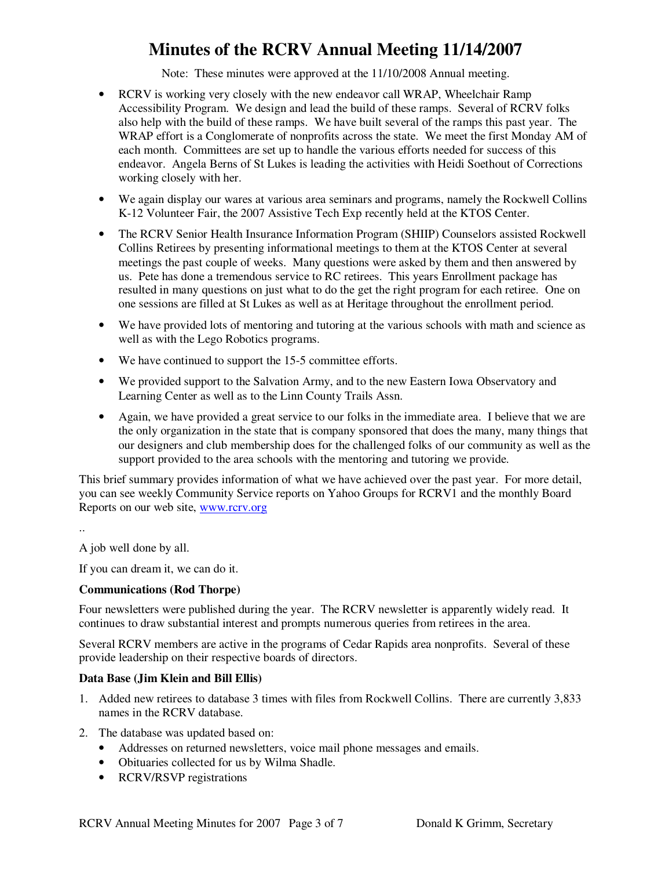Note: These minutes were approved at the 11/10/2008 Annual meeting.

- RCRV is working very closely with the new endeavor call WRAP, Wheelchair Ramp Accessibility Program. We design and lead the build of these ramps. Several of RCRV folks also help with the build of these ramps. We have built several of the ramps this past year. The WRAP effort is a Conglomerate of nonprofits across the state. We meet the first Monday AM of each month. Committees are set up to handle the various efforts needed for success of this endeavor. Angela Berns of St Lukes is leading the activities with Heidi Soethout of Corrections working closely with her.
- We again display our wares at various area seminars and programs, namely the Rockwell Collins K-12 Volunteer Fair, the 2007 Assistive Tech Exp recently held at the KTOS Center.
- The RCRV Senior Health Insurance Information Program (SHIIP) Counselors assisted Rockwell Collins Retirees by presenting informational meetings to them at the KTOS Center at several meetings the past couple of weeks. Many questions were asked by them and then answered by us. Pete has done a tremendous service to RC retirees. This years Enrollment package has resulted in many questions on just what to do the get the right program for each retiree. One on one sessions are filled at St Lukes as well as at Heritage throughout the enrollment period.
- We have provided lots of mentoring and tutoring at the various schools with math and science as well as with the Lego Robotics programs.
- We have continued to support the 15-5 committee efforts.
- We provided support to the Salvation Army, and to the new Eastern Iowa Observatory and Learning Center as well as to the Linn County Trails Assn.
- Again, we have provided a great service to our folks in the immediate area. I believe that we are the only organization in the state that is company sponsored that does the many, many things that our designers and club membership does for the challenged folks of our community as well as the support provided to the area schools with the mentoring and tutoring we provide.

This brief summary provides information of what we have achieved over the past year. For more detail, you can see weekly Community Service reports on Yahoo Groups for RCRV1 and the monthly Board Reports on our web site, www.rcrv.org

..

A job well done by all.

If you can dream it, we can do it.

#### **Communications (Rod Thorpe)**

Four newsletters were published during the year. The RCRV newsletter is apparently widely read. It continues to draw substantial interest and prompts numerous queries from retirees in the area.

Several RCRV members are active in the programs of Cedar Rapids area nonprofits. Several of these provide leadership on their respective boards of directors.

#### **Data Base (Jim Klein and Bill Ellis)**

- 1. Added new retirees to database 3 times with files from Rockwell Collins. There are currently 3,833 names in the RCRV database.
- 2. The database was updated based on:
	- Addresses on returned newsletters, voice mail phone messages and emails.
	- Obituaries collected for us by Wilma Shadle.
	- RCRV/RSVP registrations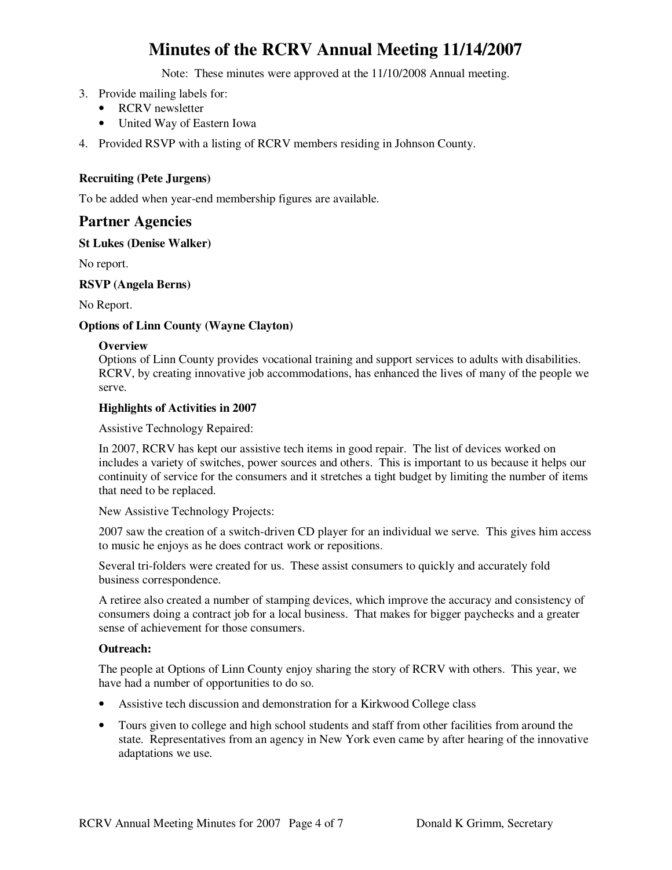Note: These minutes were approved at the 11/10/2008 Annual meeting.

- 3. Provide mailing labels for:
	- RCRV newsletter
	- United Way of Eastern Iowa
- 4. Provided RSVP with a listing of RCRV members residing in Johnson County.

#### **Recruiting (Pete Jurgens)**

To be added when year-end membership figures are available.

#### **Partner Agencies**

#### **St Lukes (Denise Walker)**

No report.

#### **RSVP (Angela Berns)**

No Report.

#### **Options of Linn County (Wayne Clayton)**

#### **Overview**

Options of Linn County provides vocational training and support services to adults with disabilities. RCRV, by creating innovative job accommodations, has enhanced the lives of many of the people we serve.

#### **Highlights of Activities in 2007**

Assistive Technology Repaired:

In 2007, RCRV has kept our assistive tech items in good repair. The list of devices worked on includes a variety of switches, power sources and others. This is important to us because it helps our continuity of service for the consumers and it stretches a tight budget by limiting the number of items that need to be replaced.

New Assistive Technology Projects:

2007 saw the creation of a switch-driven CD player for an individual we serve. This gives him access to music he enjoys as he does contract work or repositions.

Several tri-folders were created for us. These assist consumers to quickly and accurately fold business correspondence.

A retiree also created a number of stamping devices, which improve the accuracy and consistency of consumers doing a contract job for a local business. That makes for bigger paychecks and a greater sense of achievement for those consumers.

#### **Outreach:**

The people at Options of Linn County enjoy sharing the story of RCRV with others. This year, we have had a number of opportunities to do so.

- Assistive tech discussion and demonstration for a Kirkwood College class
- Tours given to college and high school students and staff from other facilities from around the state. Representatives from an agency in New York even came by after hearing of the innovative adaptations we use.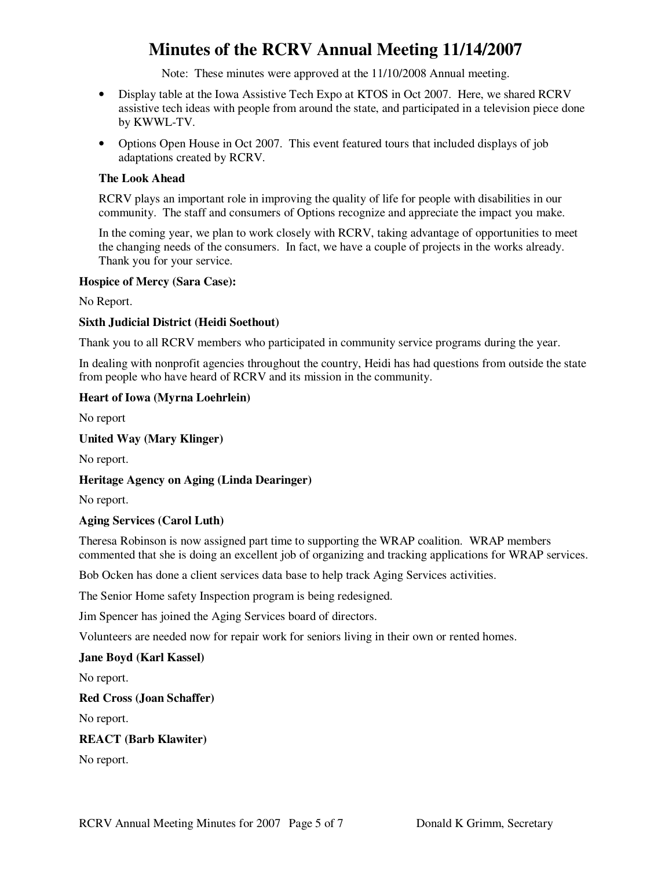Note: These minutes were approved at the 11/10/2008 Annual meeting.

- Display table at the Iowa Assistive Tech Expo at KTOS in Oct 2007. Here, we shared RCRV assistive tech ideas with people from around the state, and participated in a television piece done by KWWL-TV.
- Options Open House in Oct 2007. This event featured tours that included displays of job adaptations created by RCRV.

#### **The Look Ahead**

RCRV plays an important role in improving the quality of life for people with disabilities in our community. The staff and consumers of Options recognize and appreciate the impact you make.

In the coming year, we plan to work closely with RCRV, taking advantage of opportunities to meet the changing needs of the consumers. In fact, we have a couple of projects in the works already. Thank you for your service.

#### **Hospice of Mercy (Sara Case):**

No Report.

#### **Sixth Judicial District (Heidi Soethout)**

Thank you to all RCRV members who participated in community service programs during the year.

In dealing with nonprofit agencies throughout the country, Heidi has had questions from outside the state from people who have heard of RCRV and its mission in the community.

#### **Heart of Iowa (Myrna Loehrlein)**

No report

#### **United Way (Mary Klinger)**

No report.

#### **Heritage Agency on Aging (Linda Dearinger)**

No report.

#### **Aging Services (Carol Luth)**

Theresa Robinson is now assigned part time to supporting the WRAP coalition. WRAP members commented that she is doing an excellent job of organizing and tracking applications for WRAP services.

Bob Ocken has done a client services data base to help track Aging Services activities.

The Senior Home safety Inspection program is being redesigned.

Jim Spencer has joined the Aging Services board of directors.

Volunteers are needed now for repair work for seniors living in their own or rented homes.

#### **Jane Boyd (Karl Kassel)**

No report.

#### **Red Cross (Joan Schaffer)**

No report.

#### **REACT (Barb Klawiter)**

No report.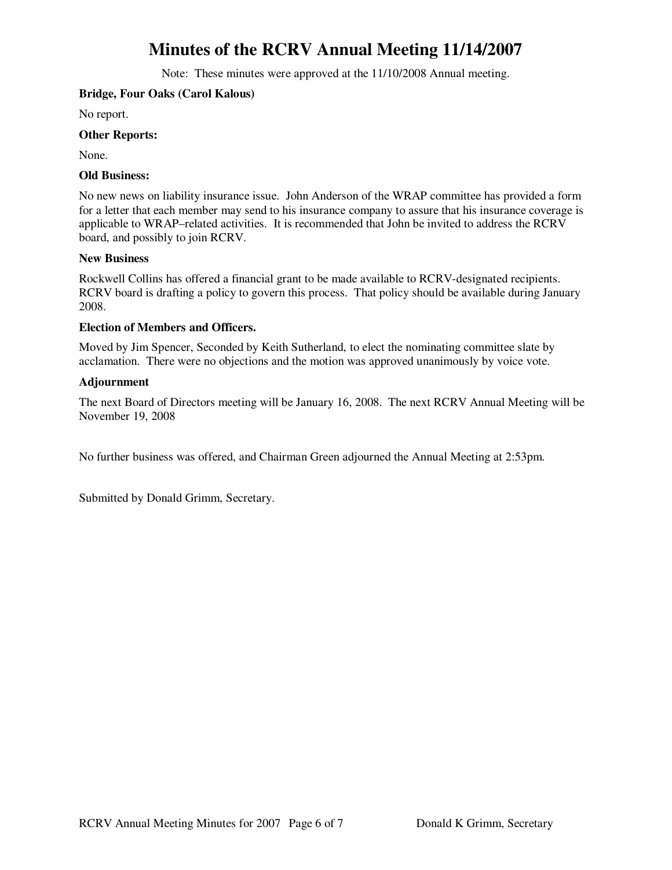Note: These minutes were approved at the 11/10/2008 Annual meeting.

#### **Bridge, Four Oaks (Carol Kalous)**

No report.

#### **Other Reports:**

None.

#### **Old Business:**

No new news on liability insurance issue. John Anderson of the WRAP committee has provided a form for a letter that each member may send to his insurance company to assure that his insurance coverage is applicable to WRAP–related activities. It is recommended that John be invited to address the RCRV board, and possibly to join RCRV.

#### **New Business**

Rockwell Collins has offered a financial grant to be made available to RCRV-designated recipients. RCRV board is drafting a policy to govern this process. That policy should be available during January 2008.

#### **Election of Members and Officers.**

Moved by Jim Spencer, Seconded by Keith Sutherland, to elect the nominating committee slate by acclamation. There were no objections and the motion was approved unanimously by voice vote.

#### **Adjournment**

The next Board of Directors meeting will be January 16, 2008. The next RCRV Annual Meeting will be November 19, 2008

No further business was offered, and Chairman Green adjourned the Annual Meeting at 2:53pm.

Submitted by Donald Grimm, Secretary.